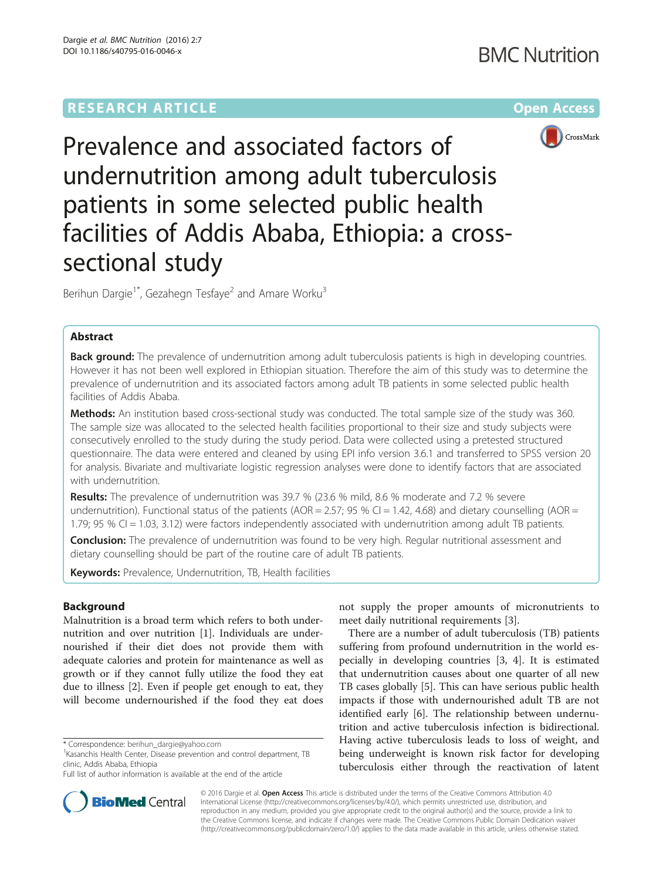

Prevalence and associated factors of undernutrition among adult tuberculosis patients in some selected public health facilities of Addis Ababa, Ethiopia: a crosssectional study

Berihun Dargie<sup>1\*</sup>, Gezahegn Tesfaye<sup>2</sup> and Amare Worku<sup>3</sup>

## Abstract

Back ground: The prevalence of undernutrition among adult tuberculosis patients is high in developing countries. However it has not been well explored in Ethiopian situation. Therefore the aim of this study was to determine the prevalence of undernutrition and its associated factors among adult TB patients in some selected public health facilities of Addis Ababa.

Methods: An institution based cross-sectional study was conducted. The total sample size of the study was 360. The sample size was allocated to the selected health facilities proportional to their size and study subjects were consecutively enrolled to the study during the study period. Data were collected using a pretested structured questionnaire. The data were entered and cleaned by using EPI info version 3.6.1 and transferred to SPSS version 20 for analysis. Bivariate and multivariate logistic regression analyses were done to identify factors that are associated with undernutrition.

Results: The prevalence of undernutrition was 39.7 % (23.6 % mild, 8.6 % moderate and 7.2 % severe undernutrition). Functional status of the patients (AOR = 2.57; 95 % CI = 1.42, 4.68) and dietary counselling (AOR = 1.79; 95 % CI = 1.03, 3.12) were factors independently associated with undernutrition among adult TB patients.

**Conclusion:** The prevalence of undernutrition was found to be very high. Regular nutritional assessment and dietary counselling should be part of the routine care of adult TB patients.

Keywords: Prevalence, Undernutrition, TB, Health facilities

## Background

Malnutrition is a broad term which refers to both undernutrition and over nutrition [[1\]](#page-7-0). Individuals are undernourished if their diet does not provide them with adequate calories and protein for maintenance as well as growth or if they cannot fully utilize the food they eat due to illness [\[2](#page-7-0)]. Even if people get enough to eat, they will become undernourished if the food they eat does



There are a number of adult tuberculosis (TB) patients suffering from profound undernutrition in the world especially in developing countries [[3, 4\]](#page-7-0). It is estimated that undernutrition causes about one quarter of all new TB cases globally [\[5](#page-7-0)]. This can have serious public health impacts if those with undernourished adult TB are not identified early [\[6](#page-7-0)]. The relationship between undernutrition and active tuberculosis infection is bidirectional. Having active tuberculosis leads to loss of weight, and being underweight is known risk factor for developing tuberculosis either through the reactivation of latent



© 2016 Dargie et al. Open Access This article is distributed under the terms of the Creative Commons Attribution 4.0 International License [\(http://creativecommons.org/licenses/by/4.0/](http://creativecommons.org/licenses/by/4.0/)), which permits unrestricted use, distribution, and reproduction in any medium, provided you give appropriate credit to the original author(s) and the source, provide a link to the Creative Commons license, and indicate if changes were made. The Creative Commons Public Domain Dedication waiver [\(http://creativecommons.org/publicdomain/zero/1.0/](http://creativecommons.org/publicdomain/zero/1.0/)) applies to the data made available in this article, unless otherwise stated.

<sup>\*</sup> Correspondence: [berihun\\_dargie@yahoo.com](mailto:berihun_dargie@yahoo.com) <sup>1</sup>

 $1$ Kasanchis Health Center, Disease prevention and control department, TB clinic, Addis Ababa, Ethiopia

Full list of author information is available at the end of the article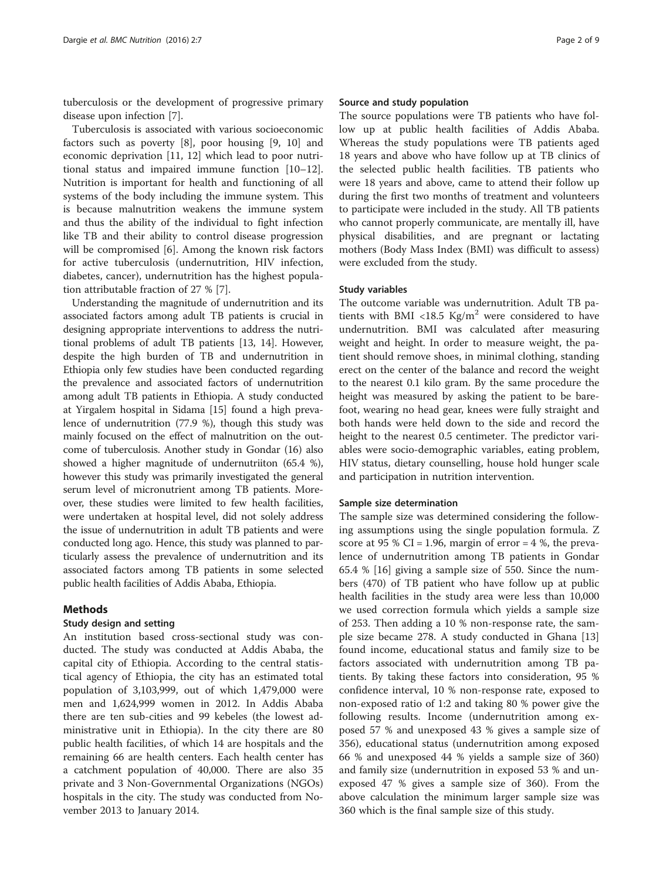tuberculosis or the development of progressive primary disease upon infection [\[7](#page-7-0)].

Tuberculosis is associated with various socioeconomic factors such as poverty [\[8](#page-7-0)], poor housing [\[9](#page-7-0), [10](#page-7-0)] and economic deprivation [[11](#page-7-0), [12\]](#page-7-0) which lead to poor nutritional status and impaired immune function [[10](#page-7-0)–[12](#page-7-0)]. Nutrition is important for health and functioning of all systems of the body including the immune system. This is because malnutrition weakens the immune system and thus the ability of the individual to fight infection like TB and their ability to control disease progression will be compromised [[6\]](#page-7-0). Among the known risk factors for active tuberculosis (undernutrition, HIV infection, diabetes, cancer), undernutrition has the highest population attributable fraction of 27 % [\[7\]](#page-7-0).

Understanding the magnitude of undernutrition and its associated factors among adult TB patients is crucial in designing appropriate interventions to address the nutritional problems of adult TB patients [[13, 14\]](#page-7-0). However, despite the high burden of TB and undernutrition in Ethiopia only few studies have been conducted regarding the prevalence and associated factors of undernutrition among adult TB patients in Ethiopia. A study conducted at Yirgalem hospital in Sidama [\[15\]](#page-7-0) found a high prevalence of undernutrition (77.9 %), though this study was mainly focused on the effect of malnutrition on the outcome of tuberculosis. Another study in Gondar (16) also showed a higher magnitude of undernutriiton (65.4 %), however this study was primarily investigated the general serum level of micronutrient among TB patients. Moreover, these studies were limited to few health facilities, were undertaken at hospital level, did not solely address the issue of undernutrition in adult TB patients and were conducted long ago. Hence, this study was planned to particularly assess the prevalence of undernutrition and its associated factors among TB patients in some selected public health facilities of Addis Ababa, Ethiopia.

## Methods

#### Study design and setting

An institution based cross-sectional study was conducted. The study was conducted at Addis Ababa, the capital city of Ethiopia. According to the central statistical agency of Ethiopia, the city has an estimated total population of 3,103,999, out of which 1,479,000 were men and 1,624,999 women in 2012. In Addis Ababa there are ten sub-cities and 99 kebeles (the lowest administrative unit in Ethiopia). In the city there are 80 public health facilities, of which 14 are hospitals and the remaining 66 are health centers. Each health center has a catchment population of 40,000. There are also 35 private and 3 Non-Governmental Organizations (NGOs) hospitals in the city. The study was conducted from November 2013 to January 2014.

#### Source and study population

The source populations were TB patients who have follow up at public health facilities of Addis Ababa. Whereas the study populations were TB patients aged 18 years and above who have follow up at TB clinics of the selected public health facilities. TB patients who were 18 years and above, came to attend their follow up during the first two months of treatment and volunteers to participate were included in the study. All TB patients who cannot properly communicate, are mentally ill, have physical disabilities, and are pregnant or lactating mothers (Body Mass Index (BMI) was difficult to assess) were excluded from the study.

#### Study variables

The outcome variable was undernutrition. Adult TB patients with BMI <18.5 Kg/m<sup>2</sup> were considered to have undernutrition. BMI was calculated after measuring weight and height. In order to measure weight, the patient should remove shoes, in minimal clothing, standing erect on the center of the balance and record the weight to the nearest 0.1 kilo gram. By the same procedure the height was measured by asking the patient to be barefoot, wearing no head gear, knees were fully straight and both hands were held down to the side and record the height to the nearest 0.5 centimeter. The predictor variables were socio-demographic variables, eating problem, HIV status, dietary counselling, house hold hunger scale and participation in nutrition intervention.

#### Sample size determination

The sample size was determined considering the following assumptions using the single population formula. Z score at 95 % CI = 1.96, margin of error = 4 %, the prevalence of undernutrition among TB patients in Gondar 65.4 % [[16\]](#page-7-0) giving a sample size of 550. Since the numbers (470) of TB patient who have follow up at public health facilities in the study area were less than 10,000 we used correction formula which yields a sample size of 253. Then adding a 10 % non-response rate, the sample size became 278. A study conducted in Ghana [[13](#page-7-0)] found income, educational status and family size to be factors associated with undernutrition among TB patients. By taking these factors into consideration, 95 % confidence interval, 10 % non-response rate, exposed to non-exposed ratio of 1:2 and taking 80 % power give the following results. Income (undernutrition among exposed 57 % and unexposed 43 % gives a sample size of 356), educational status (undernutrition among exposed 66 % and unexposed 44 % yields a sample size of 360) and family size (undernutrition in exposed 53 % and unexposed 47 % gives a sample size of 360). From the above calculation the minimum larger sample size was 360 which is the final sample size of this study.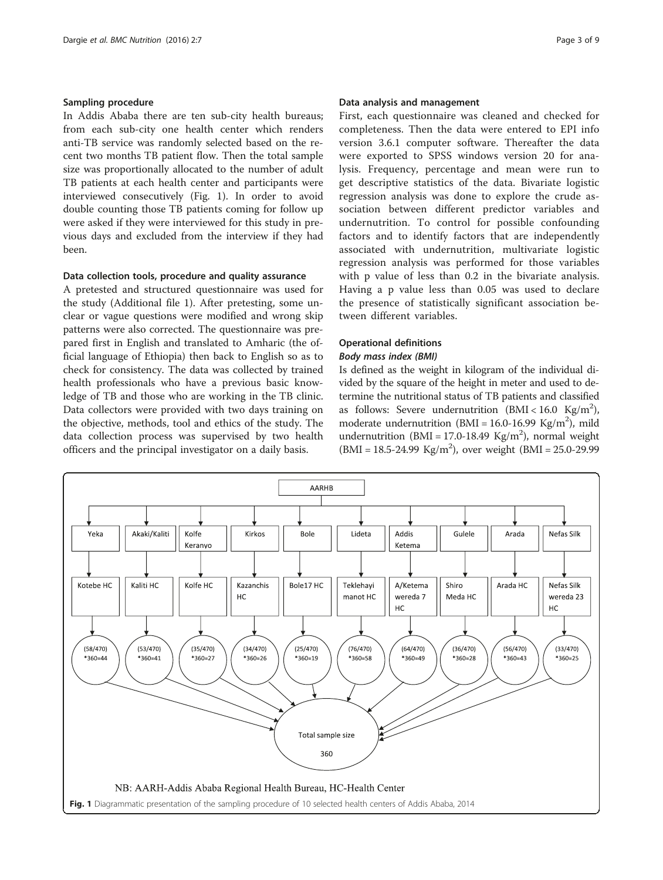## Sampling procedure

In Addis Ababa there are ten sub-city health bureaus; from each sub-city one health center which renders anti-TB service was randomly selected based on the recent two months TB patient flow. Then the total sample size was proportionally allocated to the number of adult TB patients at each health center and participants were interviewed consecutively (Fig. 1). In order to avoid double counting those TB patients coming for follow up were asked if they were interviewed for this study in previous days and excluded from the interview if they had been.

#### Data collection tools, procedure and quality assurance

A pretested and structured questionnaire was used for the study (Additional file [1](#page-7-0)). After pretesting, some unclear or vague questions were modified and wrong skip patterns were also corrected. The questionnaire was prepared first in English and translated to Amharic (the official language of Ethiopia) then back to English so as to check for consistency. The data was collected by trained health professionals who have a previous basic knowledge of TB and those who are working in the TB clinic. Data collectors were provided with two days training on the objective, methods, tool and ethics of the study. The data collection process was supervised by two health officers and the principal investigator on a daily basis.

## Data analysis and management

First, each questionnaire was cleaned and checked for completeness. Then the data were entered to EPI info version 3.6.1 computer software. Thereafter the data were exported to SPSS windows version 20 for analysis. Frequency, percentage and mean were run to get descriptive statistics of the data. Bivariate logistic regression analysis was done to explore the crude association between different predictor variables and undernutrition. To control for possible confounding factors and to identify factors that are independently associated with undernutrition, multivariate logistic regression analysis was performed for those variables with p value of less than 0.2 in the bivariate analysis. Having a p value less than 0.05 was used to declare the presence of statistically significant association between different variables.

## Operational definitions

## Body mass index (BMI)

Is defined as the weight in kilogram of the individual divided by the square of the height in meter and used to determine the nutritional status of TB patients and classified as follows: Severe undernutrition (BMI <  $16.0$  Kg/m<sup>2</sup>), moderate undernutrition (BMI = 16.0-16.99 Kg/m<sup>2</sup>), mild undernutrition (BMI = 17.0-18.49 Kg/m<sup>2</sup>), normal weight  $(BMI = 18.5 - 24.99 \text{ Kg/m}^2)$ , over weight  $(BMI = 25.0 - 29.99$ 

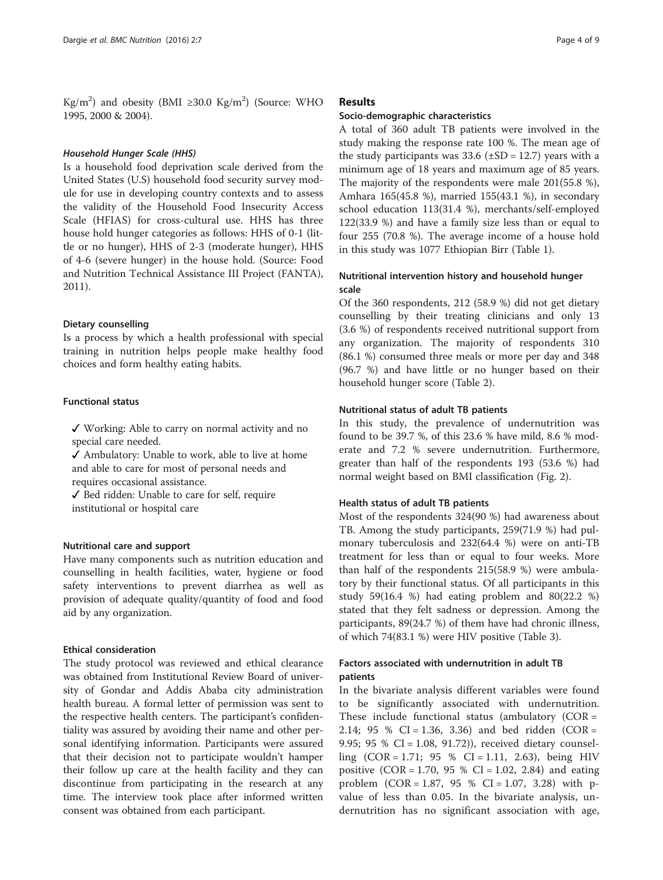Kg/m<sup>2</sup>) and obesity (BMI ≥30.0 Kg/m<sup>2</sup>) (Source: WHO 1995, 2000 & 2004).

## Household Hunger Scale (HHS)

Is a household food deprivation scale derived from the United States (U.S) household food security survey module for use in developing country contexts and to assess the validity of the Household Food Insecurity Access Scale (HFIAS) for cross-cultural use. HHS has three house hold hunger categories as follows: HHS of 0-1 (little or no hunger), HHS of 2-3 (moderate hunger), HHS of 4-6 (severe hunger) in the house hold. (Source: Food and Nutrition Technical Assistance III Project (FANTA), 2011).

#### Dietary counselling

Is a process by which a health professional with special training in nutrition helps people make healthy food choices and form healthy eating habits.

## Functional status

✓ Working: Able to carry on normal activity and no special care needed.

✓ Ambulatory: Unable to work, able to live at home and able to care for most of personal needs and requires occasional assistance.

✓ Bed ridden: Unable to care for self, require institutional or hospital care

#### Nutritional care and support

Have many components such as nutrition education and counselling in health facilities, water, hygiene or food safety interventions to prevent diarrhea as well as provision of adequate quality/quantity of food and food aid by any organization.

## Ethical consideration

The study protocol was reviewed and ethical clearance was obtained from Institutional Review Board of university of Gondar and Addis Ababa city administration health bureau. A formal letter of permission was sent to the respective health centers. The participant's confidentiality was assured by avoiding their name and other personal identifying information. Participants were assured that their decision not to participate wouldn't hamper their follow up care at the health facility and they can discontinue from participating in the research at any time. The interview took place after informed written consent was obtained from each participant.

## Results

#### Socio-demographic characteristics

A total of 360 adult TB patients were involved in the study making the response rate 100 %. The mean age of the study participants was  $33.6$  ( $\pm$ SD = 12.7) years with a minimum age of 18 years and maximum age of 85 years. The majority of the respondents were male 201(55.8 %), Amhara 165(45.8 %), married 155(43.1 %), in secondary school education 113(31.4 %), merchants/self-employed 122(33.9 %) and have a family size less than or equal to four 255 (70.8 %). The average income of a house hold in this study was 1077 Ethiopian Birr (Table [1\)](#page-4-0).

## Nutritional intervention history and household hunger scale

Of the 360 respondents, 212 (58.9 %) did not get dietary counselling by their treating clinicians and only 13 (3.6 %) of respondents received nutritional support from any organization. The majority of respondents 310 (86.1 %) consumed three meals or more per day and 348 (96.7 %) and have little or no hunger based on their household hunger score (Table [2](#page-4-0)).

### Nutritional status of adult TB patients

In this study, the prevalence of undernutrition was found to be 39.7 %, of this 23.6 % have mild, 8.6 % moderate and 7.2 % severe undernutrition. Furthermore, greater than half of the respondents 193 (53.6 %) had normal weight based on BMI classification (Fig. [2\)](#page-5-0).

## Health status of adult TB patients

Most of the respondents 324(90 %) had awareness about TB. Among the study participants, 259(71.9 %) had pulmonary tuberculosis and 232(64.4 %) were on anti-TB treatment for less than or equal to four weeks. More than half of the respondents 215(58.9 %) were ambulatory by their functional status. Of all participants in this study 59(16.4 %) had eating problem and 80(22.2 %) stated that they felt sadness or depression. Among the participants, 89(24.7 %) of them have had chronic illness, of which 74(83.1 %) were HIV positive (Table [3](#page-5-0)).

## Factors associated with undernutrition in adult TB patients

In the bivariate analysis different variables were found to be significantly associated with undernutrition. These include functional status (ambulatory  $(COR =$ 2.14; 95 % CI = 1.36, 3.36) and bed ridden  $(COR =$ 9.95; 95 % CI = 1.08, 91.72)), received dietary counselling (COR = 1.71; 95 % CI = 1.11, 2.63), being HIV positive  $(COR = 1.70, 95 % CI = 1.02, 2.84)$  and eating problem  $(COR = 1.87, 95 % CI = 1.07, 3.28)$  with pvalue of less than 0.05. In the bivariate analysis, undernutrition has no significant association with age,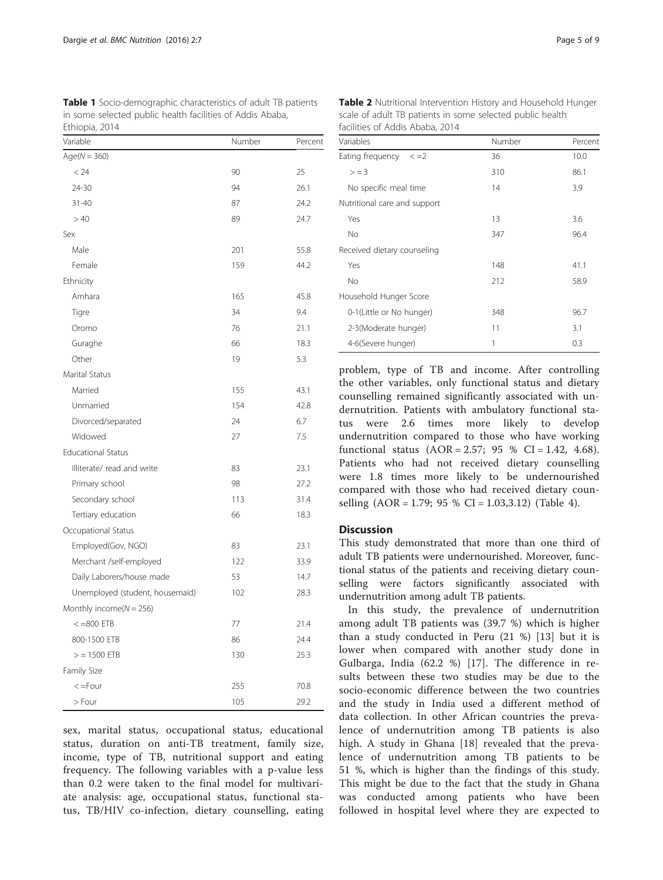<span id="page-4-0"></span>Table 1 Socio-demographic characteristics of adult TB patients in some selected public health facilities of Addis Ababa, Ethiopia, 2014

| Variable                        | Number | Percent |
|---------------------------------|--------|---------|
| Age( $N = 360$ )                |        |         |
| < 24                            | 90     | 25      |
| 24-30                           | 94     | 26.1    |
| $31 - 40$                       | 87     | 24.2    |
| >40                             | 89     | 24.7    |
| Sex                             |        |         |
| Male                            | 201    | 55.8    |
| Female                          | 159    | 44.2    |
| Ethnicity                       |        |         |
| Amhara                          | 165    | 45.8    |
| Tigre                           | 34     | 9.4     |
| Oromo                           | 76     | 21.1    |
| Guraghe                         | 66     | 18.3    |
| Other                           | 19     | 5.3     |
| Marital Status                  |        |         |
| Married                         | 155    | 43.1    |
| Unmarried                       | 154    | 42.8    |
| Divorced/separated              | 24     | 6.7     |
| Widowed                         | 27     | 7.5     |
| <b>Educational Status</b>       |        |         |
| Illiterate/ read and write      | 83     | 23.1    |
| Primary school                  | 98     | 27.2    |
| Secondary school                | 113    | 31.4    |
| Tertiary education              | 66     | 18.3    |
| Occupational Status             |        |         |
| Employed(Gov, NGO)              | 83     | 23.1    |
| Merchant /self-employed         | 122    | 33.9    |
| Daily Laborers/house made       | 53     | 14.7    |
| Unemployed (student, housemaid) | 102    | 28.3    |
| Monthly income( $N = 256$ )     |        |         |
| $< = 800$ ETB                   | 77     | 21.4    |
| 800-1500 ETB                    | 86     | 24.4    |
| $>$ = 1500 ETB                  | 130    | 25.3    |
| Family Size                     |        |         |
| $\leq$ =Four                    | 255    | 70.8    |
| > Four                          | 105    | 29.2    |

sex, marital status, occupational status, educational status, duration on anti-TB treatment, family size, income, type of TB, nutritional support and eating frequency. The following variables with a p-value less than 0.2 were taken to the final model for multivariate analysis: age, occupational status, functional status, TB/HIV co-infection, dietary counselling, eating

| <b>Table 2</b> Nutritional Intervention History and Household Hunger |
|----------------------------------------------------------------------|
| scale of adult TB patients in some selected public health            |
| facilities of Addis Ababa, 2014                                      |

| Variables                     | Number | Percent |
|-------------------------------|--------|---------|
| Eating frequency<br>$\leq$ =2 | 36     | 10.0    |
| > 3                           | 310    | 86.1    |
| No specific meal time         | 14     | 3.9     |
| Nutritional care and support  |        |         |
| Yes                           | 13     | 3.6     |
| No                            | 347    | 96.4    |
| Received dietary counseling   |        |         |
| Yes                           | 148    | 41.1    |
| No                            | 212    | 58.9    |
| Household Hunger Score        |        |         |
| 0-1(Little or No hunger)      | 348    | 96.7    |
| 2-3(Moderate hunger)          | 11     | 3.1     |
| 4-6(Severe hunger)            | 1      | 0.3     |

problem, type of TB and income. After controlling the other variables, only functional status and dietary counselling remained significantly associated with undernutrition. Patients with ambulatory functional status were 2.6 times more likely to develop undernutrition compared to those who have working functional status  $(AOR = 2.57; 95 % CI = 1.42, 4.68)$ . Patients who had not received dietary counselling were 1.8 times more likely to be undernourished compared with those who had received dietary counselling (AOR = 1.79; 95 % CI = 1.03,3.12) (Table [4\)](#page-6-0).

## **Discussion**

This study demonstrated that more than one third of adult TB patients were undernourished. Moreover, functional status of the patients and receiving dietary counselling were factors significantly associated with undernutrition among adult TB patients.

In this study, the prevalence of undernutrition among adult TB patients was (39.7 %) which is higher than a study conducted in Peru (21 %) [\[13](#page-7-0)] but it is lower when compared with another study done in Gulbarga, India (62.2 %) [[17](#page-7-0)]. The difference in results between these two studies may be due to the socio-economic difference between the two countries and the study in India used a different method of data collection. In other African countries the prevalence of undernutrition among TB patients is also high. A study in Ghana [[18\]](#page-8-0) revealed that the prevalence of undernutrition among TB patients to be 51 %, which is higher than the findings of this study. This might be due to the fact that the study in Ghana was conducted among patients who have been followed in hospital level where they are expected to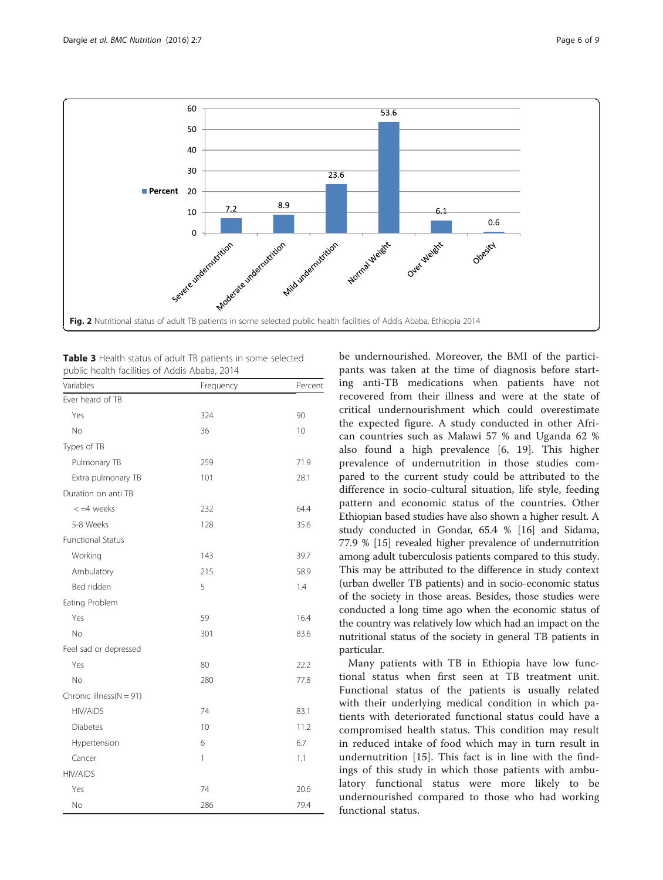<span id="page-5-0"></span>

Table 3 Health status of adult TB patients in some selected public health facilities of Addis Ababa, 2014

| Variables                   | Frequency | Percent |
|-----------------------------|-----------|---------|
| Ever heard of TB            |           |         |
| Yes                         | 324       | 90      |
| <b>No</b>                   | 36        | 10      |
| Types of TB                 |           |         |
| Pulmonary TB                | 259       | 71.9    |
| Extra pulmonary TB          | 101       | 28.1    |
| Duration on anti TB         |           |         |
| $<$ =4 weeks                | 232       | 64.4    |
| 5-8 Weeks                   | 128       | 35.6    |
| <b>Functional Status</b>    |           |         |
| Working                     | 143       | 39.7    |
| Ambulatory                  | 215       | 58.9    |
| Bed ridden                  | 5         | 1.4     |
| Eating Problem              |           |         |
| Yes                         | 59        | 16.4    |
| <b>No</b>                   | 301       | 83.6    |
| Feel sad or depressed       |           |         |
| Yes                         | 80        | 22.2    |
| <b>No</b>                   | 280       | 77.8    |
| Chronic illness( $N = 91$ ) |           |         |
| <b>HIV/AIDS</b>             | 74        | 83.1    |
| <b>Diabetes</b>             | 10        | 11.2    |
| Hypertension                | 6         | 6.7     |
| Cancer                      | 1         | 1.1     |
| <b>HIV/AIDS</b>             |           |         |
| Yes                         | 74        | 20.6    |
| No                          | 286       | 79.4    |

be undernourished. Moreover, the BMI of the participants was taken at the time of diagnosis before starting anti-TB medications when patients have not recovered from their illness and were at the state of critical undernourishment which could overestimate the expected figure. A study conducted in other African countries such as Malawi 57 % and Uganda 62 % also found a high prevalence [\[6](#page-7-0), [19](#page-8-0)]. This higher prevalence of undernutrition in those studies compared to the current study could be attributed to the difference in socio-cultural situation, life style, feeding pattern and economic status of the countries. Other Ethiopian based studies have also shown a higher result. A study conducted in Gondar, 65.4 % [\[16\]](#page-7-0) and Sidama, 77.9 % [[15](#page-7-0)] revealed higher prevalence of undernutrition among adult tuberculosis patients compared to this study. This may be attributed to the difference in study context (urban dweller TB patients) and in socio-economic status of the society in those areas. Besides, those studies were conducted a long time ago when the economic status of the country was relatively low which had an impact on the nutritional status of the society in general TB patients in particular.

Many patients with TB in Ethiopia have low functional status when first seen at TB treatment unit. Functional status of the patients is usually related with their underlying medical condition in which patients with deteriorated functional status could have a compromised health status. This condition may result in reduced intake of food which may in turn result in undernutrition [[15\]](#page-7-0). This fact is in line with the findings of this study in which those patients with ambulatory functional status were more likely to be undernourished compared to those who had working functional status.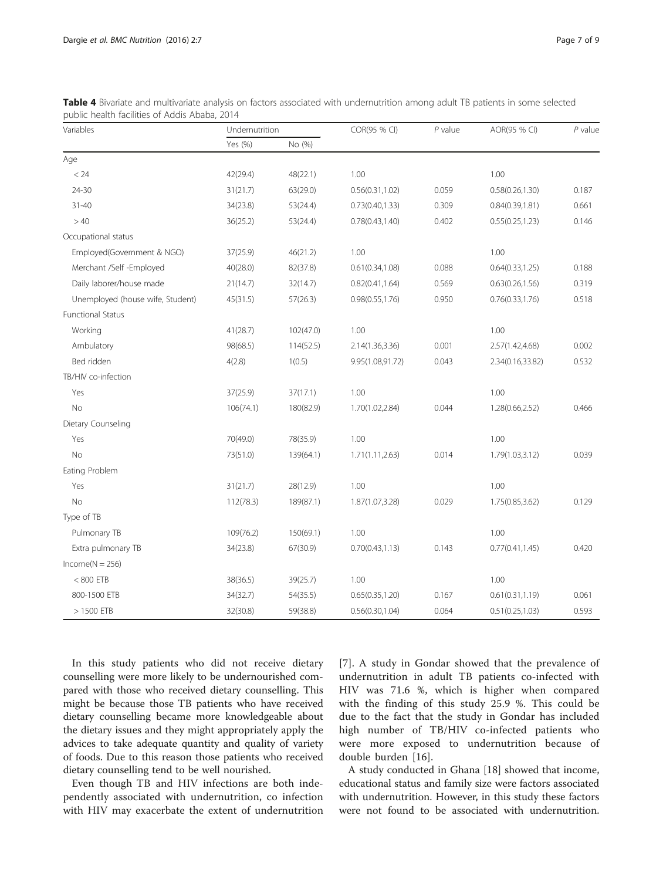| Variables                        |           | Undernutrition |                  | $P$ value | AOR(95 % CI)     | $P$ value |
|----------------------------------|-----------|----------------|------------------|-----------|------------------|-----------|
|                                  | Yes (%)   | No (%)         |                  |           |                  |           |
| Age                              |           |                |                  |           |                  |           |
| < 24                             | 42(29.4)  | 48(22.1)       | 1.00             |           | 1.00             |           |
| 24-30                            | 31(21.7)  | 63(29.0)       | 0.56(0.31, 1.02) | 0.059     | 0.58(0.26, 1.30) | 0.187     |
| $31 - 40$                        | 34(23.8)  | 53(24.4)       | 0.73(0.40, 1.33) | 0.309     | 0.84(0.39, 1.81) | 0.661     |
| >40                              | 36(25.2)  | 53(24.4)       | 0.78(0.43, 1.40) | 0.402     | 0.55(0.25, 1.23) | 0.146     |
| Occupational status              |           |                |                  |           |                  |           |
| Employed(Government & NGO)       | 37(25.9)  | 46(21.2)       | 1.00             |           | 1.00             |           |
| Merchant /Self -Employed         | 40(28.0)  | 82(37.8)       | 0.61(0.34, 1.08) | 0.088     | 0.64(0.33, 1.25) | 0.188     |
| Daily laborer/house made         | 21(14.7)  | 32(14.7)       | 0.82(0.41, 1.64) | 0.569     | 0.63(0.26, 1.56) | 0.319     |
| Unemployed (house wife, Student) | 45(31.5)  | 57(26.3)       | 0.98(0.55, 1.76) | 0.950     | 0.76(0.33, 1.76) | 0.518     |
| <b>Functional Status</b>         |           |                |                  |           |                  |           |
| Working                          | 41(28.7)  | 102(47.0)      | 1.00             |           | 1.00             |           |
| Ambulatory                       | 98(68.5)  | 114(52.5)      | 2.14(1.36,3.36)  | 0.001     | 2.57(1.42,4.68)  | 0.002     |
| Bed ridden                       | 4(2.8)    | 1(0.5)         | 9.95(1.08,91.72) | 0.043     | 2.34(0.16,33.82) | 0.532     |
| TB/HIV co-infection              |           |                |                  |           |                  |           |
| Yes                              | 37(25.9)  | 37(17.1)       | 1.00             |           | 1.00             |           |
| No                               | 106(74.1) | 180(82.9)      | 1.70(1.02,2.84)  | 0.044     | 1.28(0.66,2.52)  | 0.466     |
| Dietary Counseling               |           |                |                  |           |                  |           |
| Yes                              | 70(49.0)  | 78(35.9)       | 1.00             |           | 1.00             |           |
| No                               | 73(51.0)  | 139(64.1)      | 1.71(1.11,2.63)  | 0.014     | 1.79(1.03,3.12)  | 0.039     |
| Eating Problem                   |           |                |                  |           |                  |           |
| Yes                              | 31(21.7)  | 28(12.9)       | 1.00             |           | 1.00             |           |
| No                               | 112(78.3) | 189(87.1)      | 1.87(1.07,3.28)  | 0.029     | 1.75(0.85,3.62)  | 0.129     |
| Type of TB                       |           |                |                  |           |                  |           |
| Pulmonary TB                     | 109(76.2) | 150(69.1)      | 1.00             |           | 1.00             |           |
| Extra pulmonary TB               | 34(23.8)  | 67(30.9)       | 0.70(0.43, 1.13) | 0.143     | 0.77(0.41, 1.45) | 0.420     |
| $Income(N = 256)$                |           |                |                  |           |                  |           |
| $< 800$ ETB                      | 38(36.5)  | 39(25.7)       | 1.00             |           | 1.00             |           |
| 800-1500 ETB                     | 34(32.7)  | 54(35.5)       | 0.65(0.35, 1.20) | 0.167     | 0.61(0.31, 1.19) | 0.061     |
| > 1500 ETB                       | 32(30.8)  | 59(38.8)       | 0.56(0.30, 1.04) | 0.064     | 0.51(0.25, 1.03) | 0.593     |

<span id="page-6-0"></span>Table 4 Bivariate and multivariate analysis on factors associated with undernutrition among adult TB patients in some selected public health facilities of Addis Ababa, 2014

In this study patients who did not receive dietary counselling were more likely to be undernourished compared with those who received dietary counselling. This might be because those TB patients who have received dietary counselling became more knowledgeable about the dietary issues and they might appropriately apply the advices to take adequate quantity and quality of variety of foods. Due to this reason those patients who received dietary counselling tend to be well nourished.

Even though TB and HIV infections are both independently associated with undernutrition, co infection with HIV may exacerbate the extent of undernutrition [[7](#page-7-0)]. A study in Gondar showed that the prevalence of undernutrition in adult TB patients co-infected with HIV was 71.6 %, which is higher when compared with the finding of this study 25.9 %. This could be due to the fact that the study in Gondar has included high number of TB/HIV co-infected patients who were more exposed to undernutrition because of double burden [[16\]](#page-7-0).

A study conducted in Ghana [\[18](#page-8-0)] showed that income, educational status and family size were factors associated with undernutrition. However, in this study these factors were not found to be associated with undernutrition.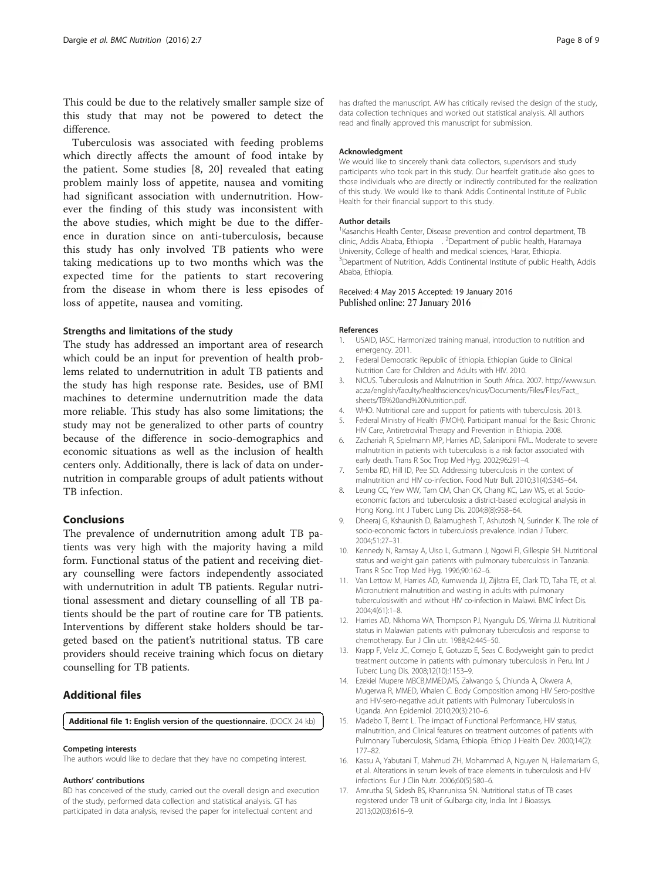<span id="page-7-0"></span>This could be due to the relatively smaller sample size of this study that may not be powered to detect the difference.

Tuberculosis was associated with feeding problems which directly affects the amount of food intake by the patient. Some studies [8, [20](#page-8-0)] revealed that eating problem mainly loss of appetite, nausea and vomiting had significant association with undernutrition. However the finding of this study was inconsistent with the above studies, which might be due to the difference in duration since on anti-tuberculosis, because this study has only involved TB patients who were taking medications up to two months which was the expected time for the patients to start recovering from the disease in whom there is less episodes of loss of appetite, nausea and vomiting.

## Strengths and limitations of the study

The study has addressed an important area of research which could be an input for prevention of health problems related to undernutrition in adult TB patients and the study has high response rate. Besides, use of BMI machines to determine undernutrition made the data more reliable. This study has also some limitations; the study may not be generalized to other parts of country because of the difference in socio-demographics and economic situations as well as the inclusion of health centers only. Additionally, there is lack of data on undernutrition in comparable groups of adult patients without TB infection.

### Conclusions

The prevalence of undernutrition among adult TB patients was very high with the majority having a mild form. Functional status of the patient and receiving dietary counselling were factors independently associated with undernutrition in adult TB patients. Regular nutritional assessment and dietary counselling of all TB patients should be the part of routine care for TB patients. Interventions by different stake holders should be targeted based on the patient's nutritional status. TB care providers should receive training which focus on dietary counselling for TB patients.

## Additional files

#### [Additional file 1:](dx.doi.org/10.1186/s40795-016-0046-x) English version of the questionnaire. (DOCX 24 kb)

#### Competing interests

The authors would like to declare that they have no competing interest.

#### Authors' contributions

BD has conceived of the study, carried out the overall design and execution of the study, performed data collection and statistical analysis. GT has participated in data analysis, revised the paper for intellectual content and

has drafted the manuscript. AW has critically revised the design of the study, data collection techniques and worked out statistical analysis. All authors read and finally approved this manuscript for submission.

#### Acknowledgment

We would like to sincerely thank data collectors, supervisors and study participants who took part in this study. Our heartfelt gratitude also goes to those individuals who are directly or indirectly contributed for the realization of this study. We would like to thank Addis Continental Institute of Public Health for their financial support to this study.

#### Author details

<sup>1</sup> Kasanchis Health Center, Disease prevention and control department, TB clinic, Addis Ababa, Ethiopia . <sup>2</sup>Department of public health, Haramaya University, College of health and medical sciences, Harar, Ethiopia. <sup>3</sup>Department of Nutrition, Addis Continental Institute of public Health, Addis Ababa, Ethiopia.

#### Received: 4 May 2015 Accepted: 19 January 2016 Published online: 27 January 2016

#### References

- 1. USAID, IASC. Harmonized training manual, introduction to nutrition and emergency. 2011.
- 2. Federal Democratic Republic of Ethiopia. Ethiopian Guide to Clinical Nutrition Care for Children and Adults with HIV. 2010.
- 3. NICUS. Tuberculosis and Malnutrition in South Africa. 2007. [http://www.sun.](http://www.sun.ac.za/english/faculty/healthsciences/nicus/Documents/Files/Files/Fact_sheets/TB%20and%20Nutrition.pdf) [ac.za/english/faculty/healthsciences/nicus/Documents/Files/Files/Fact\\_](http://www.sun.ac.za/english/faculty/healthsciences/nicus/Documents/Files/Files/Fact_sheets/TB%20and%20Nutrition.pdf) [sheets/TB%20and%20Nutrition.pdf.](http://www.sun.ac.za/english/faculty/healthsciences/nicus/Documents/Files/Files/Fact_sheets/TB%20and%20Nutrition.pdf)
- 4. WHO. Nutritional care and support for patients with tuberculosis. 2013.
- 5. Federal Ministry of Health (FMOH). Participant manual for the Basic Chronic HIV Care, Antiretroviral Therapy and Prevention in Ethiopia. 2008.
- 6. Zachariah R, Spielmann MP, Harries AD, Salaniponi FML. Moderate to severe malnutrition in patients with tuberculosis is a risk factor associated with early death. Trans R Soc Trop Med Hyg. 2002;96:291–4.
- 7. Semba RD, Hill ID, Pee SD. Addressing tuberculosis in the context of malnutrition and HIV co-infection. Food Nutr Bull. 2010;31(4):S345–64.
- 8. Leung CC, Yew WW, Tam CM, Chan CK, Chang KC, Law WS, et al. Socioeconomic factors and tuberculosis: a district-based ecological analysis in Hong Kong. Int J Tuberc Lung Dis. 2004;8(8):958–64.
- 9. Dheeraj G, Kshaunish D, Balamughesh T, Ashutosh N, Surinder K. The role of socio-economic factors in tuberculosis prevalence. Indian J Tuberc. 2004;51:27–31.
- 10. Kennedy N, Ramsay A, Uiso L, Gutmann J, Ngowi FI, Gillespie SH. Nutritional status and weight gain patients with pulmonary tuberculosis in Tanzania. Trans R Soc Trop Med Hyg. 1996;90:162–6.
- 11. Van Lettow M, Harries AD, Kumwenda JJ, Zijlstra EE, Clark TD, Taha TE, et al. Micronutrient malnutrition and wasting in adults with pulmonary tuberculosiswith and without HIV co-infection in Malawi. BMC Infect Dis. 2004;4(61):1–8.
- 12. Harries AD, Nkhoma WA, Thompson PJ, Nyangulu DS, Wirima JJ. Nutritional status in Malawian patients with pulmonary tuberculosis and response to chemotherapy. Eur J Clin utr. 1988;42:445–50.
- 13. Krapp F, Veliz JC, Cornejo E, Gotuzzo E, Seas C. Bodyweight gain to predict treatment outcome in patients with pulmonary tuberculosis in Peru. Int J Tuberc Lung Dis. 2008;12(10):1153–9.
- 14. Ezekiel Mupere MBCB,MMED,MS, Zalwango S, Chiunda A, Okwera A, Mugerwa R, MMED, Whalen C. Body Composition among HIV Sero-positive and HIV-sero-negative adult patients with Pulmonary Tuberculosis in Uganda. Ann Epidemiol. 2010;20(3):210–6.
- 15. Madebo T, Bernt L. The impact of Functional Performance, HIV status, malnutrition, and Clinical features on treatment outcomes of patients with Pulmonary Tuberculosis, Sidama, Ethiopia. Ethiop J Health Dev. 2000;14(2): 177–82.
- 16. Kassu A, Yabutani T, Mahmud ZH, Mohammad A, Nguyen N, Hailemariam G, et al. Alterations in serum levels of trace elements in tuberculosis and HIV infections. Eur J Clin Nutr. 2006;60(5):580–6.
- 17. Amrutha SI, Sidesh BS, Khanrunissa SN. Nutritional status of TB cases registered under TB unit of Gulbarga city, India. Int J Bioassys. 2013;02(03):616–9.